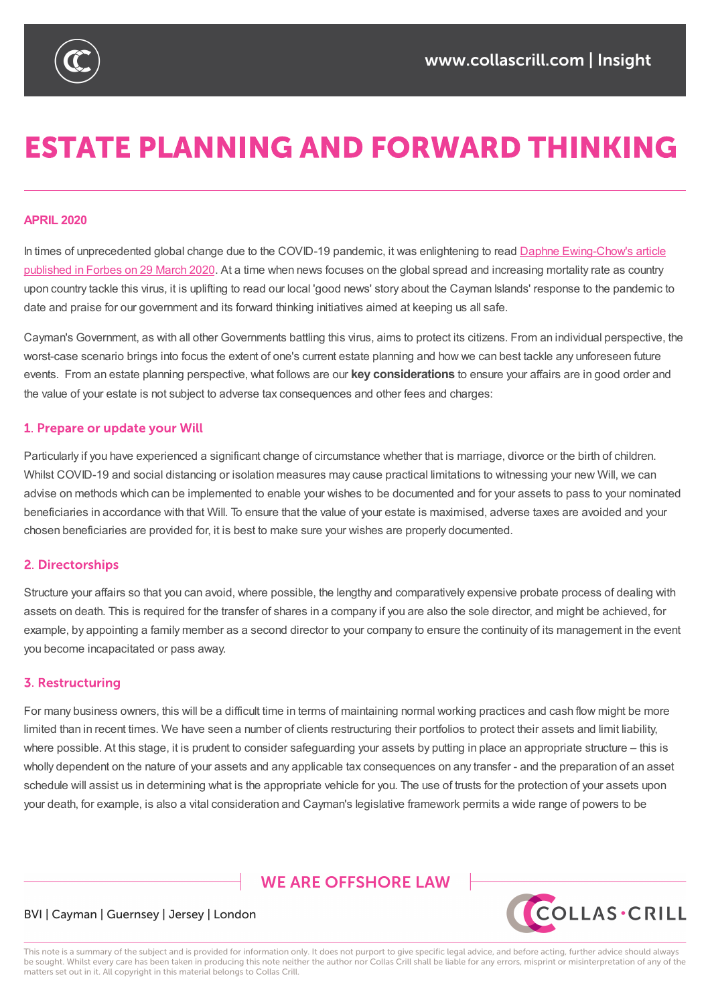

# **ESTATE PLANNING AND FORWARD THINKING**

### **APRIL 2020**

In times of unprecedented global change due to the COVID-19 pandemic, it was enlightening to read Daphne Ewing-Chow's article published in Forbes on 29 March 2020. At a time when news focuses on the global spread and increasing mortality rate as country upon country tackle this virus, it is uplifting to read our local 'good news' story about the Cayman Islands' response to the pandemic to date and praise for our [government](https://www.forbes.com/sites/daphneewingchow/2020/03/29/how-a-little-island-in-the-caribbean-sea-is-standing-up-to-the-goliath-of-coronavirus/#2fdf556d235e) and its forward thinking initiatives aimed at keeping us all safe.

Cayman's Government, as with all other Governments battling this virus, aims to protect its citizens. From an individual perspective, the worst-case scenario brings into focus the extent of one's current estate planning and how we can best tackle any unforeseen future events. From an estate planning perspective, what follows are our **key considerations** to ensure your affairs are in good order and the value of your estate is not subject to adverse tax consequences and other fees and charges:

#### 1. Prepare or update your Will

Particularly if you have experienced a significant change of circumstance whether that is marriage, divorce or the birth of children. Whilst COVID-19 and social distancing or isolation measures may cause practical limitations to witnessing your new Will, we can advise on methods which can be implemented to enable your wishes to be documented and for your assets to pass to your nominated beneficiaries in accordance with that Will. To ensure that the value of your estate is maximised, adverse taxes are avoided and your chosen beneficiaries are provided for, it is best to make sure your wishes are properly documented.

#### 2. Directorships

Structure your affairs so that you can avoid, where possible, the lengthy and comparatively expensive probate process of dealing with assets on death. This is required for the transfer of shares in a company if you are also the sole director, and might be achieved, for example, by appointing a family member as a second director to your company to ensure the continuity of its management in the event you become incapacitated or pass away.

# **3. Restructuring**

For many business owners, this will be a difficult time in terms of maintaining normal working practices and cash flow might be more limited than in recent times. We have seen a number of clients restructuring their portfolios to protect their assets and limit liability, where possible. At this stage, it is prudent to consider safeguarding your assets by putting in place an appropriate structure – this is wholly dependent on the nature of your assets and any applicable tax consequences on any transfer - and the preparation of an asset schedule will assist us in determining what is the appropriate vehicle for you. The use of trusts for the protection of your assets upon your death, for example, is also a vital consideration and Cayman's legislative framework permits a wide range of powers to be

# **WE ARE OFFSHORE LAW**



# BVI | Cayman | Guernsey | Jersey | London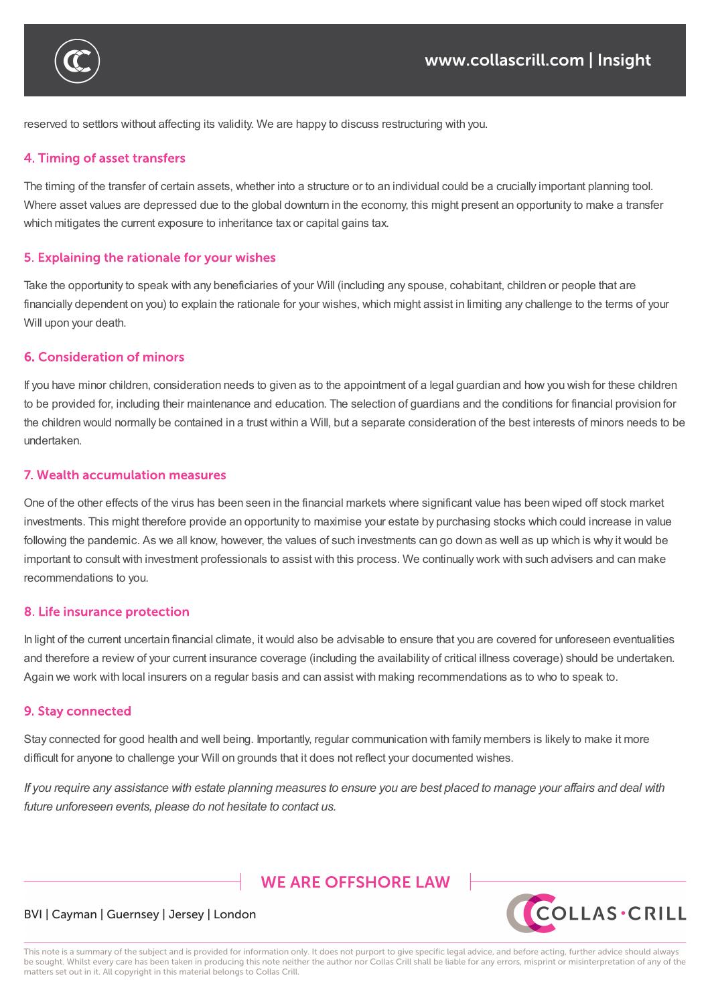

reserved to settlors without affecting its validity. We are happy to discuss restructuring with you.

# 4. Timing of asset transfers

The timing of the transfer of certain assets, whether into a structure or to an individual could be a crucially important planning tool. Where asset values are depressed due to the global downturn in the economy, this might present an opportunity to make a transfer which mitigates the current exposure to inheritance tax or capital gains tax.

#### 5. Explaining the rationale for your wishes

Take the opportunity to speak with any beneficiaries of your Will (including any spouse, cohabitant, children or people that are financially dependent on you) to explain the rationale for your wishes, which might assist in limiting any challenge to the terms of your Will upon your death.

#### **6. Consideration of minors**

If you have minor children, consideration needs to given as to the appointment of a legal guardian and how you wish for these children to be provided for, including their maintenance and education. The selection of guardians and the conditions for financial provision for the children would normally be contained in a trust within a Will, but a separate consideration of the best interests of minors needs to be undertaken.

#### 7. Wealth accumulation measures

One of the other effects of the virus has been seen in the financial markets where significant value has been wiped off stock market investments. This might therefore provide an opportunity to maximise your estate by purchasing stocks which could increase in value following the pandemic. As we all know, however, the values of such investments can go down as well as up which is why it would be important to consult with investment professionals to assist with this process. We continually work with such advisers and can make recommendations to you.

#### 8. Life insurance protection

In light of the current uncertain financial climate, it would also be advisable to ensure that you are covered for unforeseen eventualities and therefore a review of your current insurance coverage (including the availability of critical illness coverage) should be undertaken. Again we work with local insurers on a regular basis and can assist with making recommendations as to who to speak to.

# 9. Stay connected

Stay connected for good health and well being. Importantly, regular communication with family members is likely to make it more difficult for anyone to challenge your Will on grounds that it does not reflect your documented wishes.

If you require any assistance with estate planning measures to ensure you are best placed to manage your affairs and deal with *future unforeseen events, please do not hesitate to contact us.*

# **WE ARE OFFSHORE I AW**



# BVI | Cayman | Guernsey | Jersey | London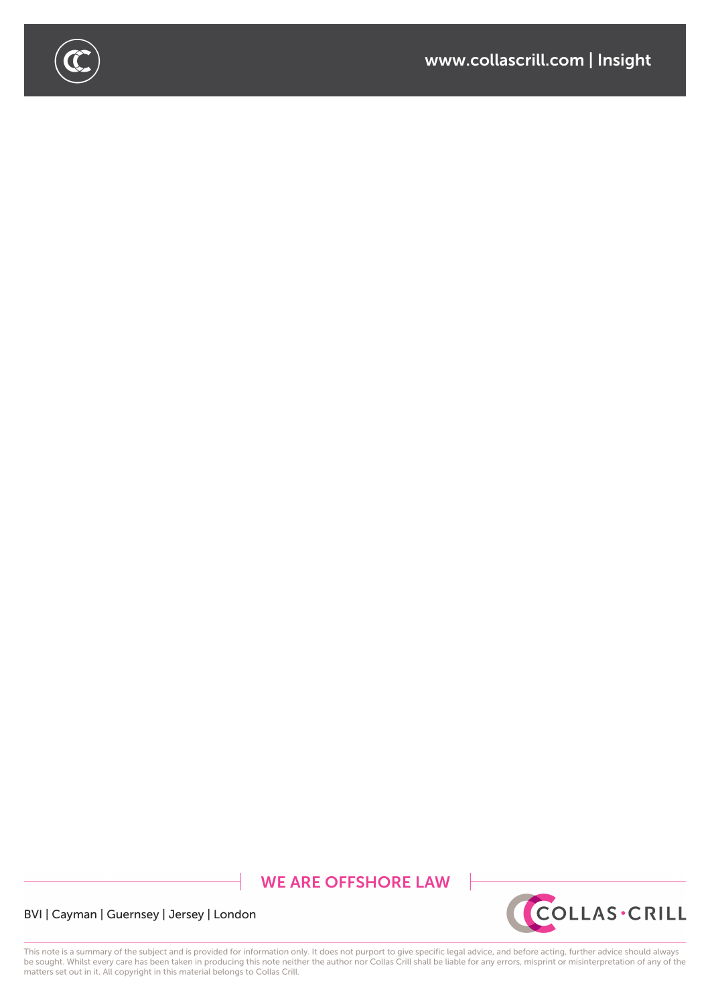

*future unforeseen events, please do not hesitate to contact us.*

# **WE ARE OFFSHORE LAW**

# BVI | Cayman | Guernsey | Jersey | London